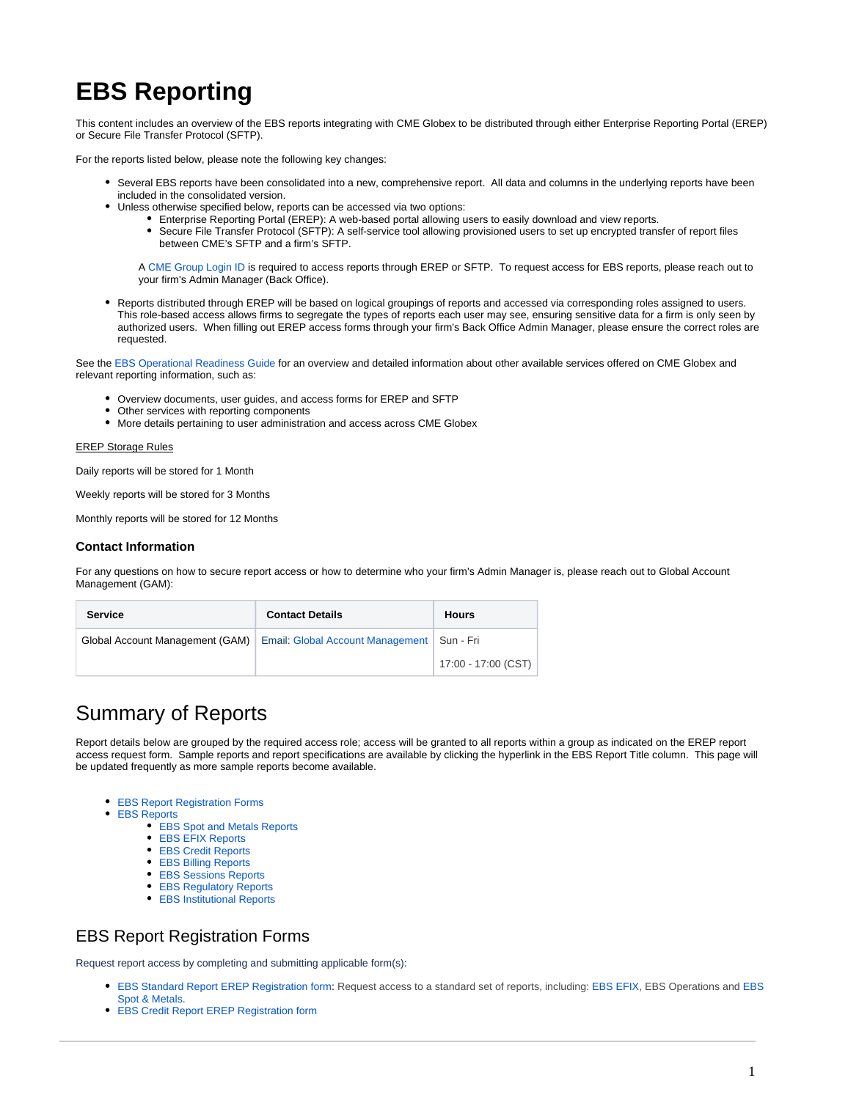# **EBS Reporting**

This content includes an overview of the EBS reports integrating with CME Globex to be distributed through either Enterprise Reporting Portal (EREP) or Secure File Transfer Protocol (SFTP).

For the reports listed below, please note the following key changes:

- Several EBS reports have been consolidated into a new, comprehensive report. All data and columns in the underlying reports have been included in the consolidated version.
	- Unless otherwise specified below, reports can be accessed via two options:
		- Enterprise Reporting Portal (EREP): A web-based portal allowing users to easily download and view reports.
			- Secure File Transfer Protocol (SFTP): A self-service tool allowing provisioned users to set up encrypted transfer of report files between CME's SFTP and a firm's SFTP.

A [CME Group Login ID](https://www.cmegroup.com/tools-information/login.html) is required to access reports through EREP or SFTP. To request access for EBS reports, please reach out to your firm's Admin Manager (Back Office).

Reports distributed through EREP will be based on logical groupings of reports and accessed via corresponding roles assigned to users. This role-based access allows firms to segregate the types of reports each user may see, ensuring sensitive data for a firm is only seen by authorized users. When filling out EREP access forms through your firm's Back Office Admin Manager, please ensure the correct roles are requested.

See the [EBS Operational Readiness Guide](https://www.cmegroup.com/confluence/display/EPICSANDBOX/EBS+Operational+Readiness+Guide) for an overview and detailed information about other available services offered on CME Globex and relevant reporting information, such as:

- Overview documents, user guides, and access forms for EREP and SFTP
- Other services with reporting components
- More details pertaining to user administration and access across CME Globex

EREP Storage Rules

Daily reports will be stored for 1 Month

Weekly reports will be stored for 3 Months

Monthly reports will be stored for 12 Months

#### **Contact Information**

For any questions on how to secure report access or how to determine who your firm's Admin Manager is, please reach out to Global Account Management (GAM):

| <b>Service</b>                  | <b>Contact Details</b>                       | <b>Hours</b>        |
|---------------------------------|----------------------------------------------|---------------------|
| Global Account Management (GAM) | Email: Global Account Management   Sun - Fri |                     |
|                                 |                                              | 17:00 - 17:00 (CST) |

# Summary of Reports

Report details below are grouped by the required access role; access will be granted to all reports within a group as indicated on the EREP report access request form. Sample reports and report specifications are available by clicking the hyperlink in the EBS Report Title column. This page will be updated frequently as more sample reports become available.

- [EBS Report Registration Forms](#page-0-0)
- [EBS Reports](#page-1-0)
	- **[EBS Spot and Metals Reports](#page-1-1)**
	- [EBS EFIX Reports](#page-1-2)
	- [EBS Credit Reports](#page-1-3)
	- [EBS Billing Reports](#page-2-0)
	- [EBS Sessions Reports](#page-2-1)
	- **[EBS Regulatory Reports](#page-2-2)**
	- [EBS Institutional Reports](#page-2-3)

### <span id="page-0-0"></span>EBS Report Registration Forms

Request report access by completing and submitting applicable form(s):

- [EBS Standard Report EREP Registration form](https://cmeg.co1.qualtrics.com/jfe/form/SV_4TSlTIZKvmNHjRY): Request access to a standard set of reports, including: [EBS EFIX](#page-1-2), EBS Operations and [EBS](#page-1-1)  [Spot & Metals](#page-1-1).
- [EBS Credit Report EREP Registration form](https://cmeg.co1.qualtrics.com/jfe/form/SV_89enjgEcWOssMC2)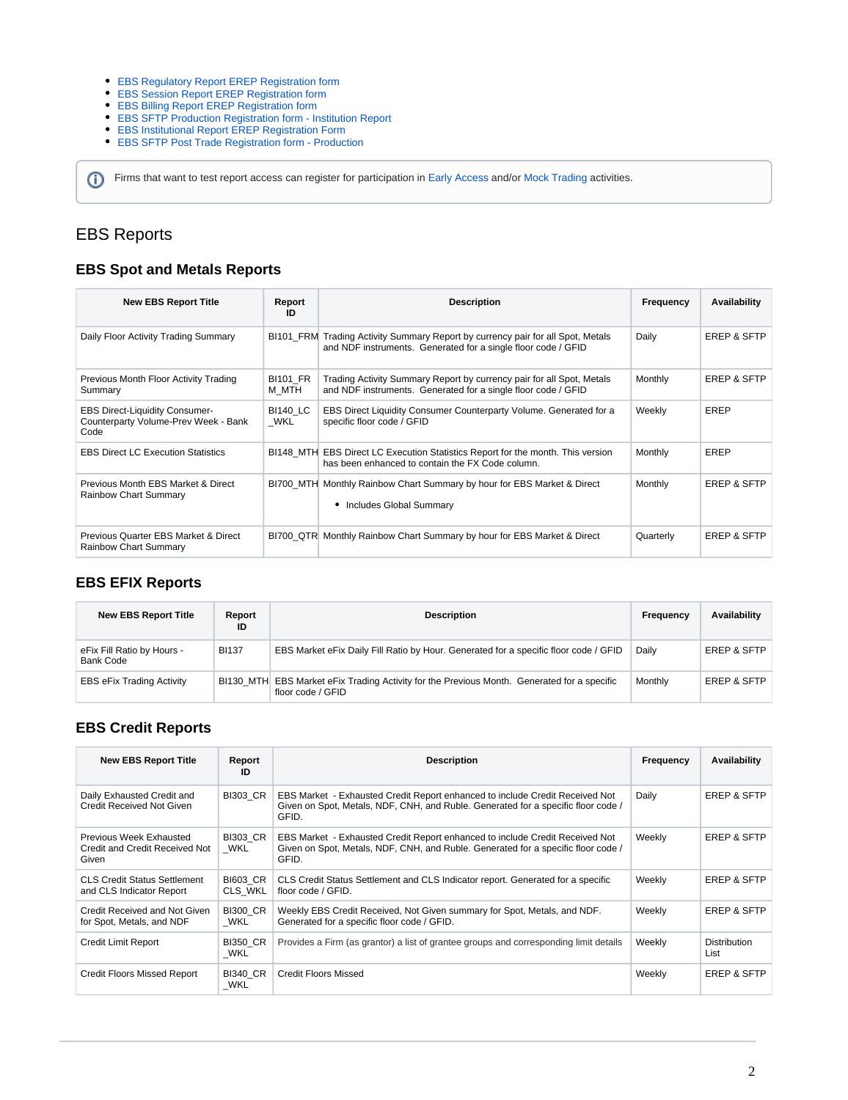#### [EBS Regulatory Report EREP Registration form](https://cmeg.co1.qualtrics.com/jfe/form/SV_4MCeWruYvxLxZDE)

- [EBS Session Report EREP Registration form](https://cmeg.co1.qualtrics.com/jfe/form/SV_eJUguQY2cNf5Co6)
- [EBS Billing Report EREP Registration form](https://cmeg.co1.qualtrics.com/jfe/form/SV_71EkOLEgkmYeR6K)
- [EBS SFTP Production Registration form Institution Report](https://cmeg.co1.qualtrics.com/jfe/form/SV_5j9m1gsxEA2B0cC)
- [EBS Institutional Report EREP Registration Form](https://cmeg.co1.qualtrics.com/jfe/form/SV_3slgW7VrXirw9ym)
- [EBS SFTP Post Trade Registration form Production](https://cmeg.co1.qualtrics.com/jfe/form/SV_eDKr5pYgOvufEmq)

Firms that want to test report access can register for participation in [Early Access](https://go.cmegroup.com/EBSEarlyAccess200122) and/or [Mock Trading](https://go.cmegroup.com/EBSCMEGlobex161021) activities.

# <span id="page-1-0"></span>EBS Reports

#### <span id="page-1-1"></span>**EBS Spot and Metals Reports**

| <b>New EBS Report Title</b>                                                           | Report<br>ID             | <b>Description</b>                                                                                                                               | Frequency | <b>Availability</b>    |
|---------------------------------------------------------------------------------------|--------------------------|--------------------------------------------------------------------------------------------------------------------------------------------------|-----------|------------------------|
| Daily Floor Activity Trading Summary                                                  |                          | BI101_FRM Trading Activity Summary Report by currency pair for all Spot, Metals<br>and NDF instruments. Generated for a single floor code / GFID | Daily     | <b>EREP &amp; SFTP</b> |
| Previous Month Floor Activity Trading<br>Summary                                      | <b>BI101 FR</b><br>M MTH | Trading Activity Summary Report by currency pair for all Spot, Metals<br>and NDF instruments. Generated for a single floor code / GFID           | Monthly   | <b>EREP &amp; SFTP</b> |
| <b>EBS Direct-Liquidity Consumer-</b><br>Counterparty Volume-Prev Week - Bank<br>Code | <b>BI140 LC</b><br>WKL   | EBS Direct Liquidity Consumer Counterparty Volume. Generated for a<br>specific floor code / GFID                                                 | Weekly    | EREP                   |
| <b>EBS Direct LC Execution Statistics</b>                                             |                          | BI148_MTH EBS Direct LC Execution Statistics Report for the month. This version<br>has been enhanced to contain the FX Code column.              | Monthly   | EREP                   |
| Previous Month EBS Market & Direct<br><b>Rainbow Chart Summary</b>                    |                          | BI700_MTH Monthly Rainbow Chart Summary by hour for EBS Market & Direct<br>Includes Global Summary                                               | Monthly   | <b>EREP &amp; SFTP</b> |
| Previous Quarter EBS Market & Direct<br><b>Rainbow Chart Summary</b>                  |                          | BI700 QTR Monthly Rainbow Chart Summary by hour for EBS Market & Direct                                                                          | Quarterly | <b>EREP &amp; SFTP</b> |

#### <span id="page-1-2"></span>**EBS EFIX Reports**

| <b>New EBS Report Title</b>                    | Report<br>ID | <b>Description</b>                                                                                               | Frequency | Availability           |
|------------------------------------------------|--------------|------------------------------------------------------------------------------------------------------------------|-----------|------------------------|
| eFix Fill Ratio by Hours -<br><b>Bank Code</b> | <b>BI137</b> | EBS Market eFix Daily Fill Ratio by Hour. Generated for a specific floor code / GFID                             | Daily     | <b>EREP &amp; SFTP</b> |
| <b>EBS eFix Trading Activity</b>               |              | BI130 MTH EBS Market eFix Trading Activity for the Previous Month. Generated for a specific<br>floor code / GFID | Monthly   | <b>EREP &amp; SFTP</b> |

#### <span id="page-1-3"></span>**EBS Credit Reports**

| <b>New EBS Report Title</b>                                               | Report<br>ID               | <b>Description</b>                                                                                                                                                         | Frequency | <b>Availability</b>    |
|---------------------------------------------------------------------------|----------------------------|----------------------------------------------------------------------------------------------------------------------------------------------------------------------------|-----------|------------------------|
| Daily Exhausted Credit and<br><b>Credit Received Not Given</b>            | <b>BI303 CR</b>            | EBS Market - Exhausted Credit Report enhanced to include Credit Received Not<br>Given on Spot, Metals, NDF, CNH, and Ruble. Generated for a specific floor code /<br>GFID. | Daily     | EREP & SFTP            |
| <b>Previous Week Exhausted</b><br>Credit and Credit Received Not<br>Given | <b>BI303 CR</b><br>WKL     | EBS Market - Exhausted Credit Report enhanced to include Credit Received Not<br>Given on Spot, Metals, NDF, CNH, and Ruble. Generated for a specific floor code /<br>GFID. | Weekly    | EREP & SFTP            |
| <b>CLS Credit Status Settlement</b><br>and CLS Indicator Report           | <b>BI603 CR</b><br>CLS WKL | CLS Credit Status Settlement and CLS Indicator report. Generated for a specific<br>floor code / GFID.                                                                      | Weekly    | <b>EREP &amp; SFTP</b> |
| Credit Received and Not Given<br>for Spot, Metals, and NDF                | <b>BI300 CR</b><br>WKL     | Weekly EBS Credit Received, Not Given summary for Spot, Metals, and NDF.<br>Generated for a specific floor code / GFID.                                                    | Weekly    | <b>EREP &amp; SFTP</b> |
| Credit Limit Report                                                       | <b>BI350 CR</b><br>WKL     | Provides a Firm (as grantor) a list of grantee groups and corresponding limit details                                                                                      | Weekly    | Distribution<br>List   |
| <b>Credit Floors Missed Report</b>                                        | <b>BI340 CR</b><br>WKL     | <b>Credit Floors Missed</b>                                                                                                                                                | Weekly    | EREP & SFTP            |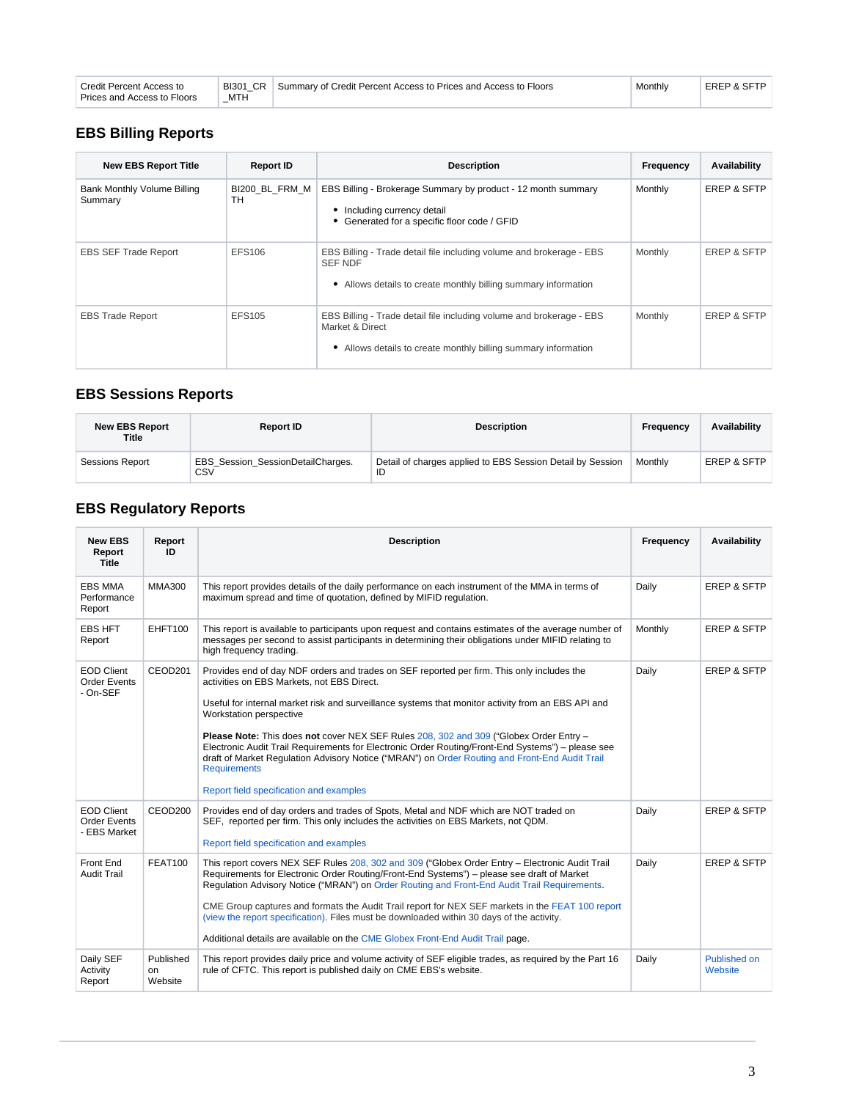| Credit Percent Access to    | BI301 CR   | Summary of Credit Percent Access to Prices and Access to Floors | Monthly | EREP & SFTP |
|-----------------------------|------------|-----------------------------------------------------------------|---------|-------------|
| Prices and Access to Floors | <b>MTH</b> |                                                                 |         |             |

# <span id="page-2-0"></span>**EBS Billing Reports**

| <b>New EBS Report Title</b>            | <b>Report ID</b>     | <b>Description</b>                                                                                                                                        | Frequency | <b>Availability</b>    |
|----------------------------------------|----------------------|-----------------------------------------------------------------------------------------------------------------------------------------------------------|-----------|------------------------|
| Bank Monthly Volume Billing<br>Summary | BI200 BL FRM M<br>тн | EBS Billing - Brokerage Summary by product - 12 month summary<br>• Including currency detail<br>• Generated for a specific floor code / GFID              | Monthly   | <b>EREP &amp; SFTP</b> |
| <b>EBS SEF Trade Report</b>            | EFS106               | EBS Billing - Trade detail file including volume and brokerage - EBS<br><b>SEF NDF</b><br>• Allows details to create monthly billing summary information  | Monthly   | EREP & SFTP            |
| <b>EBS Trade Report</b>                | EFS105               | EBS Billing - Trade detail file including volume and brokerage - EBS<br>Market & Direct<br>• Allows details to create monthly billing summary information | Monthly   | <b>EREP &amp; SFTP</b> |

# <span id="page-2-1"></span>**EBS Sessions Reports**

| <b>New EBS Report</b><br>Title | <b>Report ID</b>                                | <b>Description</b>                                               | Frequency | <b>Availability</b>    |
|--------------------------------|-------------------------------------------------|------------------------------------------------------------------|-----------|------------------------|
| <b>Sessions Report</b>         | <b>EBS Session SessionDetailCharges.</b><br>CSV | Detail of charges applied to EBS Session Detail by Session<br>ID | Monthly   | <b>EREP &amp; SFTP</b> |

# <span id="page-2-2"></span>**EBS Regulatory Reports**

<span id="page-2-3"></span>

| <b>New EBS</b><br>Report<br><b>Title</b>                 | Report<br>ID               | <b>Description</b>                                                                                                                                                                                                                                                                                                                                                                                                                                                                                                                                                                                                                           | Frequency | <b>Availability</b>            |
|----------------------------------------------------------|----------------------------|----------------------------------------------------------------------------------------------------------------------------------------------------------------------------------------------------------------------------------------------------------------------------------------------------------------------------------------------------------------------------------------------------------------------------------------------------------------------------------------------------------------------------------------------------------------------------------------------------------------------------------------------|-----------|--------------------------------|
| <b>EBS MMA</b><br>Performance<br>Report                  | MMA300                     | This report provides details of the daily performance on each instrument of the MMA in terms of<br>maximum spread and time of quotation, defined by MIFID regulation.                                                                                                                                                                                                                                                                                                                                                                                                                                                                        | Daily     | <b>EREP &amp; SFTP</b>         |
| <b>EBS HFT</b><br>Report                                 | EHFT100                    | This report is available to participants upon request and contains estimates of the average number of<br>messages per second to assist participants in determining their obligations under MIFID relating to<br>high frequency trading.                                                                                                                                                                                                                                                                                                                                                                                                      | Monthly   | <b>EREP &amp; SFTP</b>         |
| <b>EOD Client</b><br><b>Order Events</b><br>- On-SEF     | CEOD <sub>201</sub>        | Provides end of day NDF orders and trades on SEF reported per firm. This only includes the<br>activities on EBS Markets, not EBS Direct.<br>Useful for internal market risk and surveillance systems that monitor activity from an EBS API and<br>Workstation perspective<br>Please Note: This does not cover NEX SEF Rules 208, 302 and 309 ("Globex Order Entry -<br>Electronic Audit Trail Requirements for Electronic Order Routing/Front-End Systems") - please see<br>draft of Market Regulation Advisory Notice ("MRAN") on Order Routing and Front-End Audit Trail<br><b>Requirements</b><br>Report field specification and examples | Daily     | <b>EREP &amp; SFTP</b>         |
| <b>EOD Client</b><br><b>Order Events</b><br>- EBS Market | CEOD <sub>200</sub>        | Provides end of day orders and trades of Spots, Metal and NDF which are NOT traded on<br>SEF, reported per firm. This only includes the activities on EBS Markets, not QDM.<br>Report field specification and examples                                                                                                                                                                                                                                                                                                                                                                                                                       | Daily     | <b>EREP &amp; SFTP</b>         |
| Front End<br><b>Audit Trail</b>                          | <b>FEAT100</b>             | This report covers NEX SEF Rules 208, 302 and 309 ("Globex Order Entry - Electronic Audit Trail<br>Requirements for Electronic Order Routing/Front-End Systems") - please see draft of Market<br>Regulation Advisory Notice ("MRAN") on Order Routing and Front-End Audit Trail Requirements.<br>CME Group captures and formats the Audit Trail report for NEX SEF markets in the FEAT 100 report<br>(view the report specification). Files must be downloaded within 30 days of the activity.<br>Additional details are available on the CME Globex Front-End Audit Trail page.                                                             | Daily     | <b>EREP &amp; SFTP</b>         |
| Daily SEF<br>Activity<br>Report                          | Published<br>on<br>Website | This report provides daily price and volume activity of SEF eligible trades, as required by the Part 16<br>rule of CFTC. This report is published daily on CME EBS's website.                                                                                                                                                                                                                                                                                                                                                                                                                                                                | Daily     | <b>Published on</b><br>Website |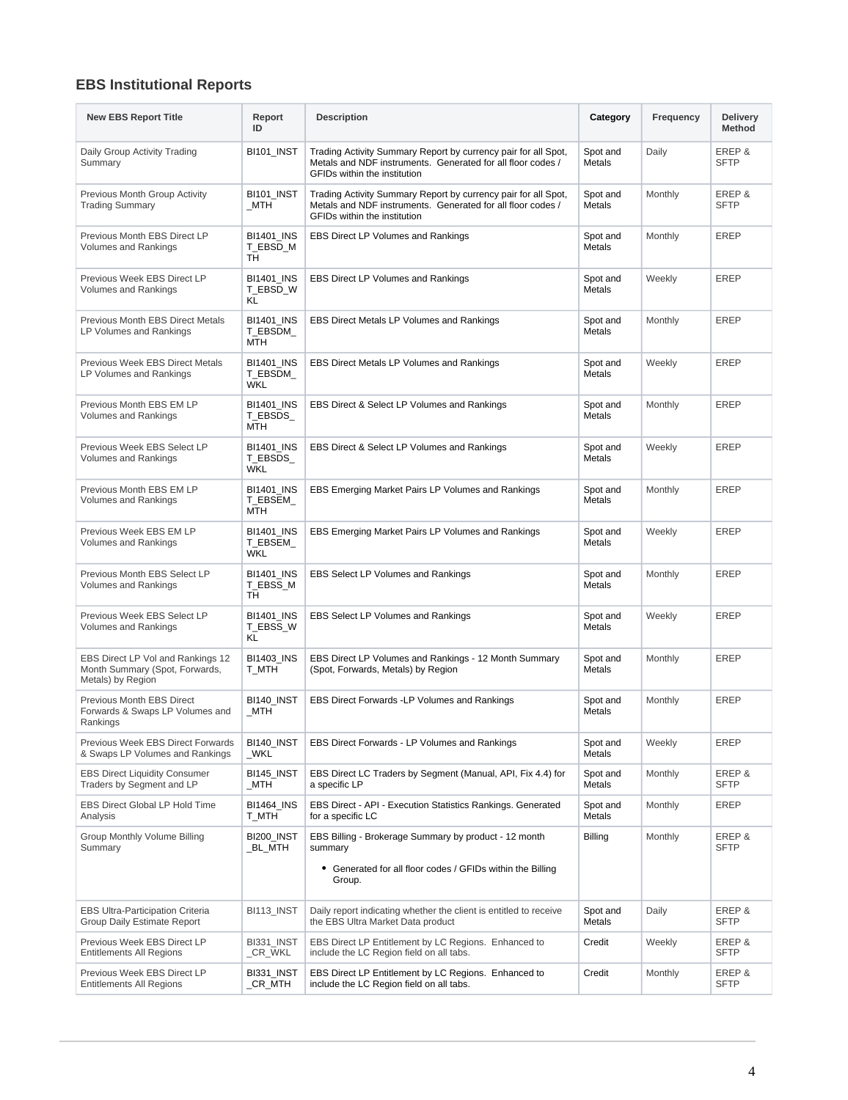# **EBS Institutional Reports**

| <b>New EBS Report Title</b>                                                              | Report<br>ID                         | <b>Description</b>                                                                                                                                            | Category                  | Frequency | <b>Delivery</b><br><b>Method</b> |
|------------------------------------------------------------------------------------------|--------------------------------------|---------------------------------------------------------------------------------------------------------------------------------------------------------------|---------------------------|-----------|----------------------------------|
| Daily Group Activity Trading<br>Summary                                                  | BI101_INST                           | Trading Activity Summary Report by currency pair for all Spot,<br>Metals and NDF instruments. Generated for all floor codes /<br>GFIDs within the institution | Spot and<br>Metals        | Daily     | EREP&<br><b>SFTP</b>             |
| Previous Month Group Activity<br><b>Trading Summary</b>                                  | BI101_INST<br>MTH                    | Trading Activity Summary Report by currency pair for all Spot,<br>Metals and NDF instruments. Generated for all floor codes /<br>GFIDs within the institution | Spot and<br>Metals        | Monthly   | EREP &<br><b>SFTP</b>            |
| Previous Month EBS Direct LP<br><b>Volumes and Rankings</b>                              | <b>BI1401 INS</b><br>T_EBSD_M<br>TH  | <b>EBS Direct LP Volumes and Rankings</b>                                                                                                                     | Spot and<br>Metals        | Monthly   | <b>EREP</b>                      |
| Previous Week EBS Direct LP<br>Volumes and Rankings                                      | BI1401_INS<br>T_EBSD_W<br>KL         | EBS Direct LP Volumes and Rankings                                                                                                                            | Spot and<br>Metals        | Weekly    | <b>EREP</b>                      |
| <b>Previous Month EBS Direct Metals</b><br>LP Volumes and Rankings                       | BI1401_INS<br>T_EBSDM_<br>MTH        | EBS Direct Metals LP Volumes and Rankings                                                                                                                     | Spot and<br>Metals        | Monthly   | <b>EREP</b>                      |
| Previous Week EBS Direct Metals<br>LP Volumes and Rankings                               | BI1401_INS<br>T_EBSDM_<br><b>WKL</b> | EBS Direct Metals LP Volumes and Rankings                                                                                                                     | Spot and<br>Metals        | Weekly    | <b>EREP</b>                      |
| Previous Month EBS EM LP<br><b>Volumes and Rankings</b>                                  | <b>BI1401 INS</b><br>T_EBSDS_<br>MTH | EBS Direct & Select LP Volumes and Rankings                                                                                                                   | Spot and<br>Metals        | Monthly   | <b>EREP</b>                      |
| Previous Week EBS Select LP<br><b>Volumes and Rankings</b>                               | BI1401_INS<br>T_EBSDS_<br><b>WKL</b> | EBS Direct & Select LP Volumes and Rankings                                                                                                                   | Spot and<br>Metals        | Weekly    | <b>EREP</b>                      |
| Previous Month EBS EM LP<br>Volumes and Rankings                                         | <b>BI1401 INS</b><br>T_EBSEM_<br>MTH | EBS Emerging Market Pairs LP Volumes and Rankings                                                                                                             | Spot and<br>Metals        | Monthly   | <b>EREP</b>                      |
| Previous Week EBS EM LP<br><b>Volumes and Rankings</b>                                   | BI1401_INS<br>T_EBSEM_<br>WKL        | EBS Emerging Market Pairs LP Volumes and Rankings                                                                                                             | Spot and<br>Metals        | Weekly    | <b>EREP</b>                      |
| Previous Month EBS Select LP<br>Volumes and Rankings                                     | BI1401_INS<br>T_EBSS_M<br>TH         | EBS Select LP Volumes and Rankings                                                                                                                            | Spot and<br>Metals        | Monthly   | <b>EREP</b>                      |
| Previous Week EBS Select LP<br><b>Volumes and Rankings</b>                               | <b>BI1401 INS</b><br>T_EBSS_W<br>KL  | <b>EBS Select LP Volumes and Rankings</b>                                                                                                                     | Spot and<br>Metals        | Weekly    | <b>EREP</b>                      |
| EBS Direct LP Vol and Rankings 12<br>Month Summary (Spot, Forwards,<br>Metals) by Region | <b>BI1403 INS</b><br>T_MTH           | EBS Direct LP Volumes and Rankings - 12 Month Summary<br>(Spot, Forwards, Metals) by Region                                                                   | Spot and<br><b>Metals</b> | Monthly   | <b>EREP</b>                      |
| Previous Month EBS Direct<br>Forwards & Swaps LP Volumes and<br>Rankings                 | BI140_INST<br>MTH                    | EBS Direct Forwards -LP Volumes and Rankings                                                                                                                  | Spot and<br>Metals        | Monthly   | <b>EREP</b>                      |
| Previous Week EBS Direct Forwards<br>& Swaps LP Volumes and Rankings                     | BI140_INST<br>_WKL                   | EBS Direct Forwards - LP Volumes and Rankings                                                                                                                 | Spot and<br>Metals        | Weekly    | EREP                             |
| <b>EBS Direct Liquidity Consumer</b><br>Traders by Segment and LP                        | BI145 INST<br>_MTH                   | EBS Direct LC Traders by Segment (Manual, API, Fix 4.4) for<br>a specific LP                                                                                  | Spot and<br>Metals        | Monthly   | EREP &<br><b>SFTP</b>            |
| EBS Direct Global LP Hold Time<br>Analysis                                               | <b>BI1464_INS</b><br>T_MTH           | EBS Direct - API - Execution Statistics Rankings. Generated<br>for a specific LC                                                                              | Spot and<br>Metals        | Monthly   | EREP                             |
| Group Monthly Volume Billing<br>Summary                                                  | BI200_INST<br>_BL_MTH                | EBS Billing - Brokerage Summary by product - 12 month<br>summary                                                                                              | Billing                   | Monthly   | EREP &<br><b>SFTP</b>            |
|                                                                                          |                                      | • Generated for all floor codes / GFIDs within the Billing<br>Group.                                                                                          |                           |           |                                  |
| <b>EBS Ultra-Participation Criteria</b><br>Group Daily Estimate Report                   | BI113_INST                           | Daily report indicating whether the client is entitled to receive<br>the EBS Ultra Market Data product                                                        | Spot and<br>Metals        | Daily     | EREP&<br><b>SFTP</b>             |
| Previous Week EBS Direct LP<br><b>Entitlements All Regions</b>                           | BI331_INST<br>_CR_WKL                | EBS Direct LP Entitlement by LC Regions. Enhanced to<br>include the LC Region field on all tabs.                                                              | Credit                    | Weekly    | EREP &<br><b>SFTP</b>            |
| Previous Week EBS Direct LP<br><b>Entitlements All Regions</b>                           | BI331_INST<br>_CR_MTH                | EBS Direct LP Entitlement by LC Regions. Enhanced to<br>include the LC Region field on all tabs.                                                              | Credit                    | Monthly   | EREP &<br><b>SFTP</b>            |